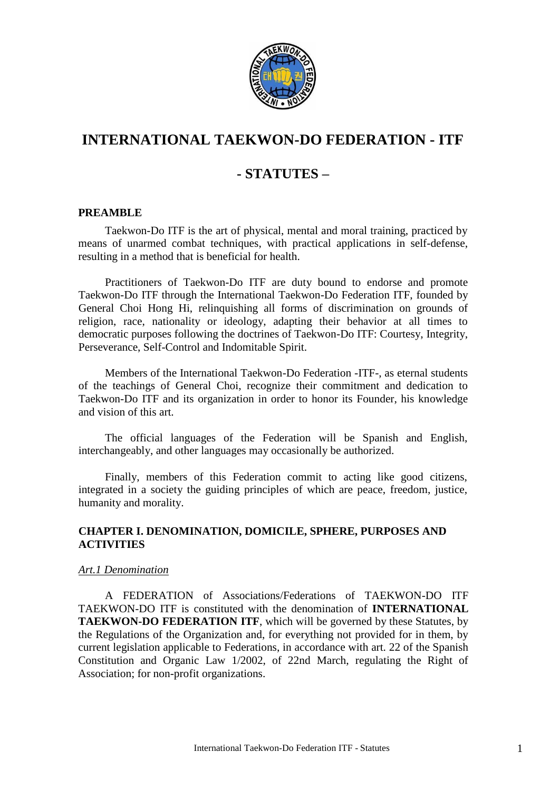

# **INTERNATIONAL TAEKWON-DO FEDERATION - ITF**

# **- STATUTES –**

## **PREAMBLE**

Taekwon-Do ITF is the art of physical, mental and moral training, practiced by means of unarmed combat techniques, with practical applications in self-defense, resulting in a method that is beneficial for health.

Practitioners of Taekwon-Do ITF are duty bound to endorse and promote Taekwon-Do ITF through the International Taekwon-Do Federation ITF, founded by General Choi Hong Hi, relinquishing all forms of discrimination on grounds of religion, race, nationality or ideology, adapting their behavior at all times to democratic purposes following the doctrines of Taekwon-Do ITF: Courtesy, Integrity, Perseverance, Self-Control and Indomitable Spirit.

Members of the International Taekwon-Do Federation -ITF-, as eternal students of the teachings of General Choi, recognize their commitment and dedication to Taekwon-Do ITF and its organization in order to honor its Founder, his knowledge and vision of this art.

The official languages of the Federation will be Spanish and English, interchangeably, and other languages may occasionally be authorized.

Finally, members of this Federation commit to acting like good citizens, integrated in a society the guiding principles of which are peace, freedom, justice, humanity and morality.

# **CHAPTER I. DENOMINATION, DOMICILE, SPHERE, PURPOSES AND ACTIVITIES**

## *Art.1 Denomination*

A FEDERATION of Associations/Federations of TAEKWON-DO ITF TAEKWON-DO ITF is constituted with the denomination of **INTERNATIONAL TAEKWON-DO FEDERATION ITF**, which will be governed by these Statutes, by the Regulations of the Organization and, for everything not provided for in them, by current legislation applicable to Federations, in accordance with art. 22 of the Spanish Constitution and Organic Law 1/2002, of 22nd March, regulating the Right of Association; for non-profit organizations.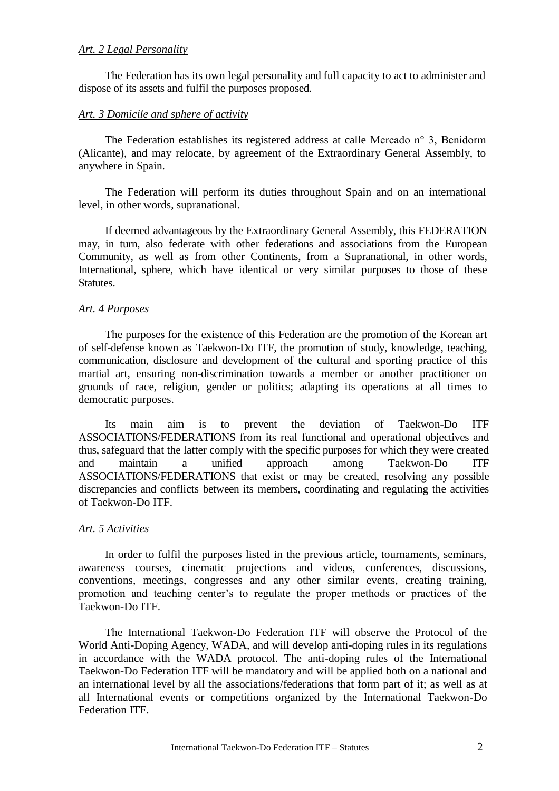## *Art. 2 Legal Personality*

The Federation has its own legal personality and full capacity to act to administer and dispose of its assets and fulfil the purposes proposed.

#### *Art. 3 Domicile and sphere of activity*

The Federation establishes its registered address at calle Mercado n° 3, Benidorm (Alicante), and may relocate, by agreement of the Extraordinary General Assembly, to anywhere in Spain.

The Federation will perform its duties throughout Spain and on an international level, in other words, supranational.

If deemed advantageous by the Extraordinary General Assembly, this FEDERATION may, in turn, also federate with other federations and associations from the European Community, as well as from other Continents, from a Supranational, in other words, International, sphere, which have identical or very similar purposes to those of these Statutes.

## *Art. 4 Purposes*

The purposes for the existence of this Federation are the promotion of the Korean art of self-defense known as Taekwon-Do ITF, the promotion of study, knowledge, teaching, communication, disclosure and development of the cultural and sporting practice of this martial art, ensuring non-discrimination towards a member or another practitioner on grounds of race, religion, gender or politics; adapting its operations at all times to democratic purposes.

Its main aim is to prevent the deviation of Taekwon-Do ITF ASSOCIATIONS/FEDERATIONS from its real functional and operational objectives and thus, safeguard that the latter comply with the specific purposes for which they were created and maintain a unified approach among Taekwon-Do ITF ASSOCIATIONS/FEDERATIONS that exist or may be created, resolving any possible discrepancies and conflicts between its members, coordinating and regulating the activities of Taekwon-Do ITF.

## *Art. 5 Activities*

In order to fulfil the purposes listed in the previous article, tournaments, seminars, awareness courses, cinematic projections and videos, conferences, discussions, conventions, meetings, congresses and any other similar events, creating training, promotion and teaching center's to regulate the proper methods or practices of the Taekwon-Do ITF.

The International Taekwon-Do Federation ITF will observe the Protocol of the World Anti-Doping Agency, WADA, and will develop anti-doping rules in its regulations in accordance with the WADA protocol. The anti-doping rules of the International Taekwon-Do Federation ITF will be mandatory and will be applied both on a national and an international level by all the associations/federations that form part of it; as well as at all International events or competitions organized by the International Taekwon-Do Federation ITF.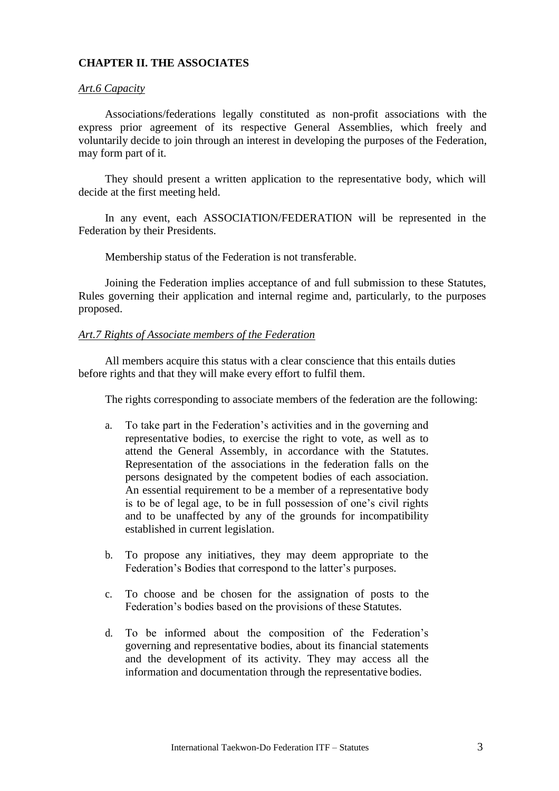# **CHAPTER II. THE ASSOCIATES**

#### *Art.6 Capacity*

Associations/federations legally constituted as non-profit associations with the express prior agreement of its respective General Assemblies, which freely and voluntarily decide to join through an interest in developing the purposes of the Federation, may form part of it.

They should present a written application to the representative body, which will decide at the first meeting held.

In any event, each ASSOCIATION/FEDERATION will be represented in the Federation by their Presidents.

Membership status of the Federation is not transferable.

Joining the Federation implies acceptance of and full submission to these Statutes, Rules governing their application and internal regime and, particularly, to the purposes proposed.

#### *Art.7 Rights of Associate members of the Federation*

All members acquire this status with a clear conscience that this entails duties before rights and that they will make every effort to fulfil them.

The rights corresponding to associate members of the federation are the following:

- a. To take part in the Federation's activities and in the governing and representative bodies, to exercise the right to vote, as well as to attend the General Assembly, in accordance with the Statutes. Representation of the associations in the federation falls on the persons designated by the competent bodies of each association. An essential requirement to be a member of a representative body is to be of legal age, to be in full possession of one's civil rights and to be unaffected by any of the grounds for incompatibility established in current legislation.
- b. To propose any initiatives, they may deem appropriate to the Federation's Bodies that correspond to the latter's purposes.
- c. To choose and be chosen for the assignation of posts to the Federation's bodies based on the provisions of these Statutes.
- d. To be informed about the composition of the Federation's governing and representative bodies, about its financial statements and the development of its activity. They may access all the information and documentation through the representative bodies.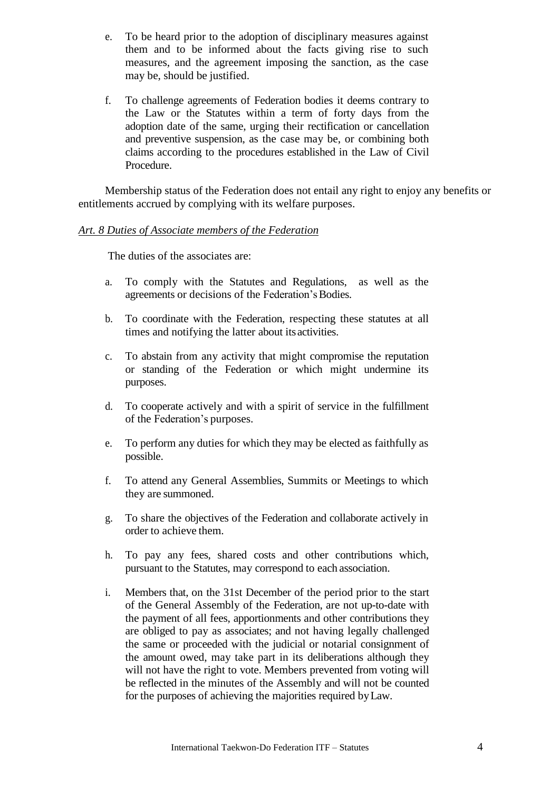- e. To be heard prior to the adoption of disciplinary measures against them and to be informed about the facts giving rise to such measures, and the agreement imposing the sanction, as the case may be, should be justified.
- f. To challenge agreements of Federation bodies it deems contrary to the Law or the Statutes within a term of forty days from the adoption date of the same, urging their rectification or cancellation and preventive suspension, as the case may be, or combining both claims according to the procedures established in the Law of Civil Procedure.

Membership status of the Federation does not entail any right to enjoy any benefits or entitlements accrued by complying with its welfare purposes.

## *Art. 8 Duties of Associate members of the Federation*

The duties of the associates are:

- a. To comply with the Statutes and Regulations, as well as the agreements or decisions of the Federation's Bodies.
- b. To coordinate with the Federation, respecting these statutes at all times and notifying the latter about its activities.
- c. To abstain from any activity that might compromise the reputation or standing of the Federation or which might undermine its purposes.
- d. To cooperate actively and with a spirit of service in the fulfillment of the Federation's purposes.
- e. To perform any duties for which they may be elected as faithfully as possible.
- f. To attend any General Assemblies, Summits or Meetings to which they are summoned.
- g. To share the objectives of the Federation and collaborate actively in order to achieve them.
- h. To pay any fees, shared costs and other contributions which, pursuant to the Statutes, may correspond to each association.
- i. Members that, on the 31st December of the period prior to the start of the General Assembly of the Federation, are not up-to-date with the payment of all fees, apportionments and other contributions they are obliged to pay as associates; and not having legally challenged the same or proceeded with the judicial or notarial consignment of the amount owed, may take part in its deliberations although they will not have the right to vote. Members prevented from voting will be reflected in the minutes of the Assembly and will not be counted for the purposes of achieving the majorities required byLaw.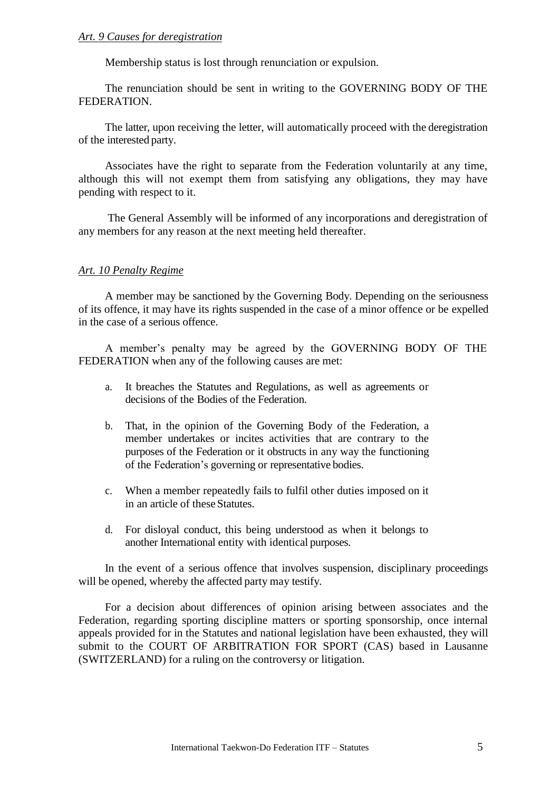# *Art. 9 Causes for deregistration*

Membership status is lost through renunciation or expulsion.

The renunciation should be sent in writing to the GOVERNING BODY OF THE FEDERATION.

The latter, upon receiving the letter, will automatically proceed with the deregistration of the interested party.

Associates have the right to separate from the Federation voluntarily at any time, although this will not exempt them from satisfying any obligations, they may have pending with respect to it.

The General Assembly will be informed of any incorporations and deregistration of any members for any reason at the next meeting held thereafter.

#### *Art. 10 Penalty Regime*

A member may be sanctioned by the Governing Body. Depending on the seriousness of its offence, it may have its rights suspended in the case of a minor offence or be expelled in the case of a serious offence.

A member's penalty may be agreed by the GOVERNING BODY OF THE FEDERATION when any of the following causes are met:

- a. It breaches the Statutes and Regulations, as well as agreements or decisions of the Bodies of the Federation.
- b. That, in the opinion of the Governing Body of the Federation, a member undertakes or incites activities that are contrary to the purposes of the Federation or it obstructs in any way the functioning of the Federation's governing or representative bodies.
- c. When a member repeatedly fails to fulfil other duties imposed on it in an article of these Statutes.
- d. For disloyal conduct, this being understood as when it belongs to another International entity with identical purposes.

In the event of a serious offence that involves suspension, disciplinary proceedings will be opened, whereby the affected party may testify.

For a decision about differences of opinion arising between associates and the Federation, regarding sporting discipline matters or sporting sponsorship, once internal appeals provided for in the Statutes and national legislation have been exhausted, they will submit to the COURT OF ARBITRATION FOR SPORT (CAS) based in Lausanne (SWITZERLAND) for a ruling on the controversy or litigation.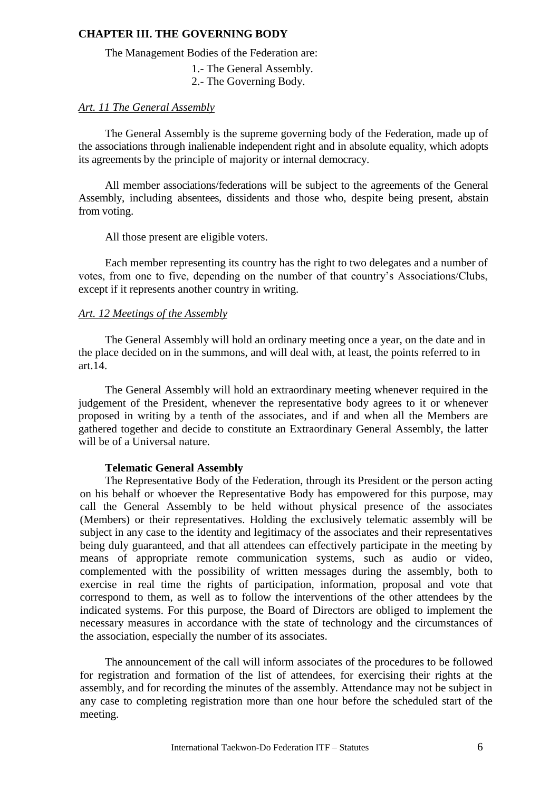## **CHAPTER III. THE GOVERNING BODY**

The Management Bodies of the Federation are:

- 1.- The General Assembly.
- 2.- The Governing Body.

# *Art. 11 The General Assembly*

The General Assembly is the supreme governing body of the Federation, made up of the associations through inalienable independent right and in absolute equality, which adopts its agreements by the principle of majority or internal democracy.

All member associations/federations will be subject to the agreements of the General Assembly, including absentees, dissidents and those who, despite being present, abstain from voting.

All those present are eligible voters.

Each member representing its country has the right to two delegates and a number of votes, from one to five, depending on the number of that country's Associations/Clubs, except if it represents another country in writing.

# *Art. 12 Meetings of the Assembly*

The General Assembly will hold an ordinary meeting once a year, on the date and in the place decided on in the summons, and will deal with, at least, the points referred to in art.14.

The General Assembly will hold an extraordinary meeting whenever required in the judgement of the President, whenever the representative body agrees to it or whenever proposed in writing by a tenth of the associates, and if and when all the Members are gathered together and decide to constitute an Extraordinary General Assembly, the latter will be of a Universal nature.

#### **Telematic General Assembly**

The Representative Body of the Federation, through its President or the person acting on his behalf or whoever the Representative Body has empowered for this purpose, may call the General Assembly to be held without physical presence of the associates (Members) or their representatives. Holding the exclusively telematic assembly will be subject in any case to the identity and legitimacy of the associates and their representatives being duly guaranteed, and that all attendees can effectively participate in the meeting by means of appropriate remote communication systems, such as audio or video, complemented with the possibility of written messages during the assembly, both to exercise in real time the rights of participation, information, proposal and vote that correspond to them, as well as to follow the interventions of the other attendees by the indicated systems. For this purpose, the Board of Directors are obliged to implement the necessary measures in accordance with the state of technology and the circumstances of the association, especially the number of its associates.

The announcement of the call will inform associates of the procedures to be followed for registration and formation of the list of attendees, for exercising their rights at the assembly, and for recording the minutes of the assembly. Attendance may not be subject in any case to completing registration more than one hour before the scheduled start of the meeting.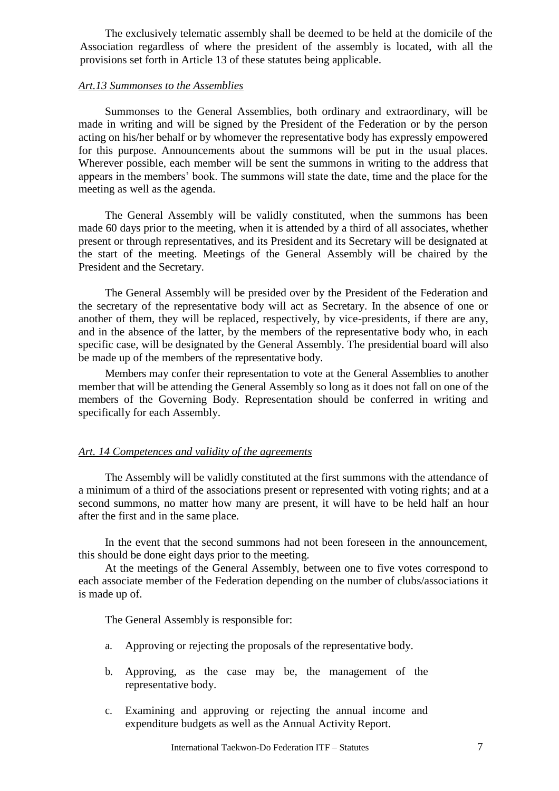The exclusively telematic assembly shall be deemed to be held at the domicile of the Association regardless of where the president of the assembly is located, with all the provisions set forth in Article 13 of these statutes being applicable.

## *Art.13 Summonses to the Assemblies*

Summonses to the General Assemblies, both ordinary and extraordinary, will be made in writing and will be signed by the President of the Federation or by the person acting on his/her behalf or by whomever the representative body has expressly empowered for this purpose. Announcements about the summons will be put in the usual places. Wherever possible, each member will be sent the summons in writing to the address that appears in the members' book. The summons will state the date, time and the place for the meeting as well as the agenda.

The General Assembly will be validly constituted, when the summons has been made 60 days prior to the meeting, when it is attended by a third of all associates, whether present or through representatives, and its President and its Secretary will be designated at the start of the meeting. Meetings of the General Assembly will be chaired by the President and the Secretary.

The General Assembly will be presided over by the President of the Federation and the secretary of the representative body will act as Secretary. In the absence of one or another of them, they will be replaced, respectively, by vice-presidents, if there are any, and in the absence of the latter, by the members of the representative body who, in each specific case, will be designated by the General Assembly. The presidential board will also be made up of the members of the representative body.

Members may confer their representation to vote at the General Assemblies to another member that will be attending the General Assembly so long as it does not fall on one of the members of the Governing Body. Representation should be conferred in writing and specifically for each Assembly.

# *Art. 14 Competences and validity of the agreements*

The Assembly will be validly constituted at the first summons with the attendance of a minimum of a third of the associations present or represented with voting rights; and at a second summons, no matter how many are present, it will have to be held half an hour after the first and in the same place.

In the event that the second summons had not been foreseen in the announcement, this should be done eight days prior to the meeting.

At the meetings of the General Assembly, between one to five votes correspond to each associate member of the Federation depending on the number of clubs/associations it is made up of.

The General Assembly is responsible for:

- a. Approving or rejecting the proposals of the representative body.
- b. Approving, as the case may be, the management of the representative body.
- c. Examining and approving or rejecting the annual income and expenditure budgets as well as the Annual Activity Report.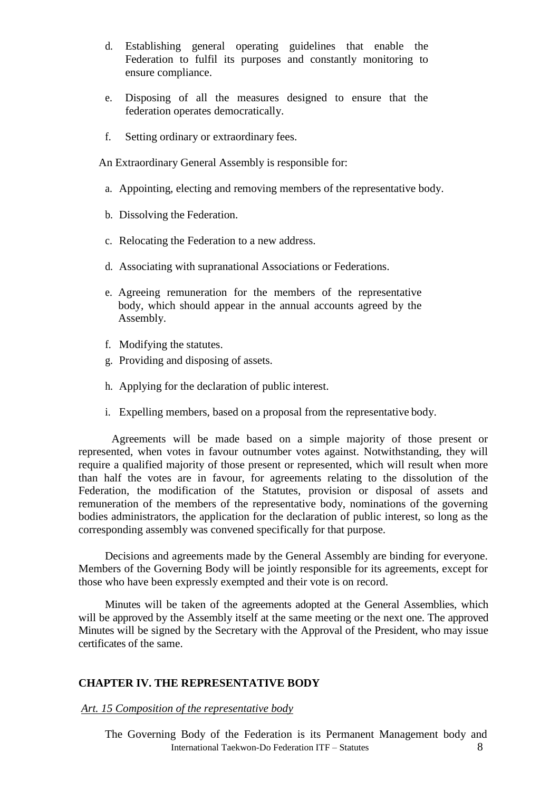- d. Establishing general operating guidelines that enable the Federation to fulfil its purposes and constantly monitoring to ensure compliance.
- e. Disposing of all the measures designed to ensure that the federation operates democratically.
- f. Setting ordinary or extraordinary fees.

An Extraordinary General Assembly is responsible for:

- a. Appointing, electing and removing members of the representative body.
- b. Dissolving the Federation.
- c. Relocating the Federation to a new address.
- d. Associating with supranational Associations or Federations.
- e. Agreeing remuneration for the members of the representative body, which should appear in the annual accounts agreed by the Assembly.
- f. Modifying the statutes.
- g. Providing and disposing of assets.
- h. Applying for the declaration of public interest.
- i. Expelling members, based on a proposal from the representative body.

Agreements will be made based on a simple majority of those present or represented, when votes in favour outnumber votes against. Notwithstanding, they will require a qualified majority of those present or represented, which will result when more than half the votes are in favour, for agreements relating to the dissolution of the Federation, the modification of the Statutes, provision or disposal of assets and remuneration of the members of the representative body, nominations of the governing bodies administrators, the application for the declaration of public interest, so long as the corresponding assembly was convened specifically for that purpose.

Decisions and agreements made by the General Assembly are binding for everyone. Members of the Governing Body will be jointly responsible for its agreements, except for those who have been expressly exempted and their vote is on record.

Minutes will be taken of the agreements adopted at the General Assemblies, which will be approved by the Assembly itself at the same meeting or the next one. The approved Minutes will be signed by the Secretary with the Approval of the President, who may issue certificates of the same.

#### **CHAPTER IV. THE REPRESENTATIVE BODY**

#### *Art. 15 Composition of the representative body*

International Taekwon-Do Federation ITF – Statutes 8 The Governing Body of the Federation is its Permanent Management body and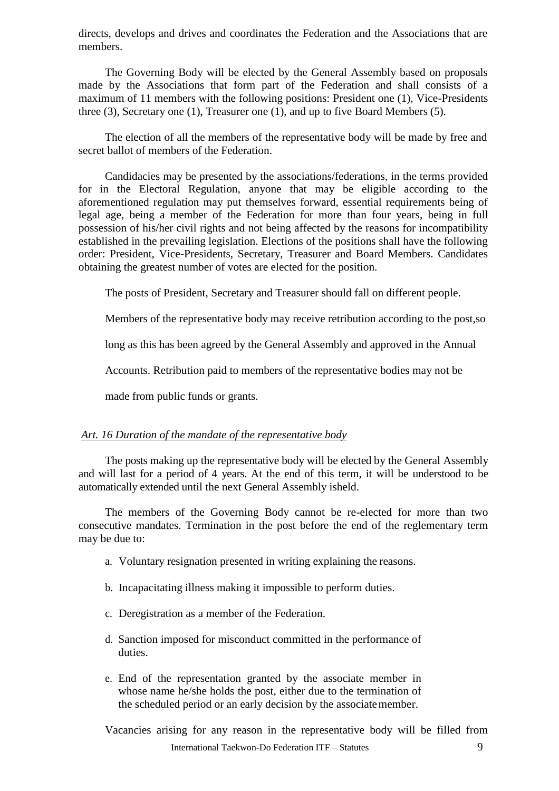directs, develops and drives and coordinates the Federation and the Associations that are members.

The Governing Body will be elected by the General Assembly based on proposals made by the Associations that form part of the Federation and shall consists of a maximum of 11 members with the following positions: President one (1), Vice-Presidents three (3), Secretary one (1), Treasurer one (1), and up to five Board Members (5).

The election of all the members of the representative body will be made by free and secret ballot of members of the Federation.

Candidacies may be presented by the associations/federations, in the terms provided for in the Electoral Regulation, anyone that may be eligible according to the aforementioned regulation may put themselves forward, essential requirements being of legal age, being a member of the Federation for more than four years, being in full possession of his/her civil rights and not being affected by the reasons for incompatibility established in the prevailing legislation. Elections of the positions shall have the following order: President, Vice-Presidents, Secretary, Treasurer and Board Members. Candidates obtaining the greatest number of votes are elected for the position.

The posts of President, Secretary and Treasurer should fall on different people.

Members of the representative body may receive retribution according to the post,so

long as this has been agreed by the General Assembly and approved in the Annual

Accounts. Retribution paid to members of the representative bodies may not be

made from public funds or grants.

# *Art. 16 Duration of the mandate of the representative body*

The posts making up the representative body will be elected by the General Assembly and will last for a period of 4 years. At the end of this term, it will be understood to be automatically extended until the next General Assembly isheld.

The members of the Governing Body cannot be re-elected for more than two consecutive mandates. Termination in the post before the end of the reglementary term may be due to:

- a. Voluntary resignation presented in writing explaining the reasons.
- b. Incapacitating illness making it impossible to perform duties.
- c. Deregistration as a member of the Federation.
- d. Sanction imposed for misconduct committed in the performance of duties.
- e. End of the representation granted by the associate member in whose name he/she holds the post, either due to the termination of the scheduled period or an early decision by the associatemember.

International Taekwon-Do Federation ITF – Statutes 9 Vacancies arising for any reason in the representative body will be filled from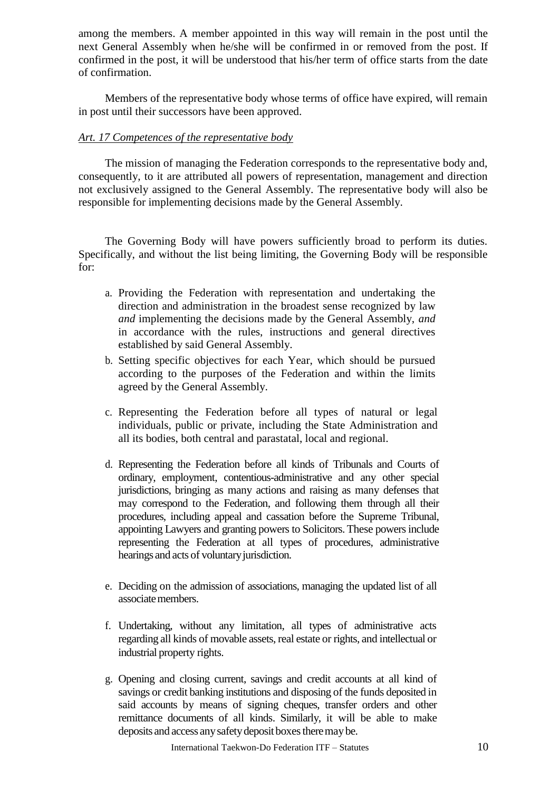among the members. A member appointed in this way will remain in the post until the next General Assembly when he/she will be confirmed in or removed from the post. If confirmed in the post, it will be understood that his/her term of office starts from the date of confirmation.

Members of the representative body whose terms of office have expired, will remain in post until their successors have been approved.

# *Art. 17 Competences of the representative body*

The mission of managing the Federation corresponds to the representative body and, consequently, to it are attributed all powers of representation, management and direction not exclusively assigned to the General Assembly. The representative body will also be responsible for implementing decisions made by the General Assembly.

The Governing Body will have powers sufficiently broad to perform its duties. Specifically, and without the list being limiting, the Governing Body will be responsible for:

- a. Providing the Federation with representation and undertaking the direction and administration in the broadest sense recognized by law *and* implementing the decisions made by the General Assembly, *and*  in accordance with the rules, instructions and general directives established by said General Assembly.
- b. Setting specific objectives for each Year, which should be pursued according to the purposes of the Federation and within the limits agreed by the General Assembly.
- c. Representing the Federation before all types of natural or legal individuals, public or private, including the State Administration and all its bodies, both central and parastatal, local and regional.
- d. Representing the Federation before all kinds of Tribunals and Courts of ordinary, employment, contentious-administrative and any other special jurisdictions, bringing as many actions and raising as many defenses that may correspond to the Federation, and following them through all their procedures, including appeal and cassation before the Supreme Tribunal, appointing Lawyers and granting powers to Solicitors. These powers include representing the Federation at all types of procedures, administrative hearings and acts of voluntary jurisdiction.
- e. Deciding on the admission of associations, managing the updated list of all associate members.
- f. Undertaking, without any limitation, all types of administrative acts regarding all kinds of movable assets, real estate or rights, and intellectual or industrial property rights.
- g. Opening and closing current, savings and credit accounts at all kind of savings or credit banking institutions and disposing of the funds deposited in said accounts by means of signing cheques, transfer orders and other remittance documents of all kinds. Similarly, it will be able to make deposits and access any safety deposit boxes there may be.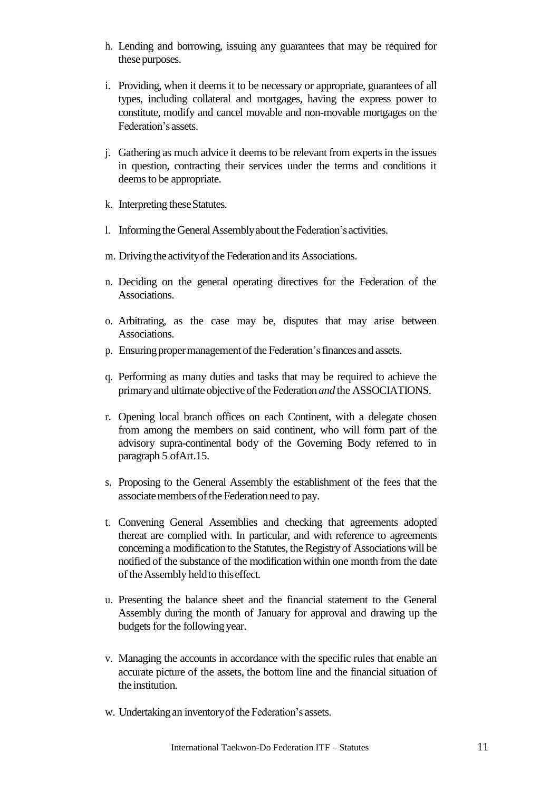- h. Lending and borrowing, issuing any guarantees that may be required for these purposes.
- i. Providing, when it deems it to be necessary or appropriate, guarantees of all types, including collateral and mortgages, having the express power to constitute, modify and cancel movable and non-movable mortgages on the Federation's assets.
- j. Gathering as much advice it deems to be relevant from expertsin the issues in question, contracting their services under the terms and conditions it deems to be appropriate.
- k. Interpreting these Statutes.
- l. Informing the General Assembly about the Federation's activities.
- m. Driving the activity of the Federation and its Associations.
- n. Deciding on the general operating directives for the Federation of the Associations.
- o. Arbitrating, as the case may be, disputes that may arise between Associations.
- p. Ensuring proper management of the Federation's finances and assets.
- q. Performing as many duties and tasks that may be required to achieve the primaryand ultimate objectiveof the Federation*and* the ASSOCIATIONS.
- r. Opening local branch offices on each Continent, with a delegate chosen from among the members on said continent, who will form part of the advisory supra-continental body of the Governing Body referred to in paragraph 5 ofArt.15.
- s. Proposing to the General Assembly the establishment of the fees that the associate members of the Federation need to pay.
- t. Convening General Assemblies and checking that agreements adopted thereat are complied with. In particular, and with reference to agreements concerning a modification to the Statutes, the Registry of Associations will be notified of the substance of the modification within one month from the date of the Assembly held to this effect.
- u. Presenting the balance sheet and the financial statement to the General Assembly during the month of January for approval and drawing up the budgets for the following year.
- v. Managing the accounts in accordance with the specific rules that enable an accurate picture of the assets, the bottom line and the financial situation of the institution.
- w. Undertaking an inventory of the Federation's assets.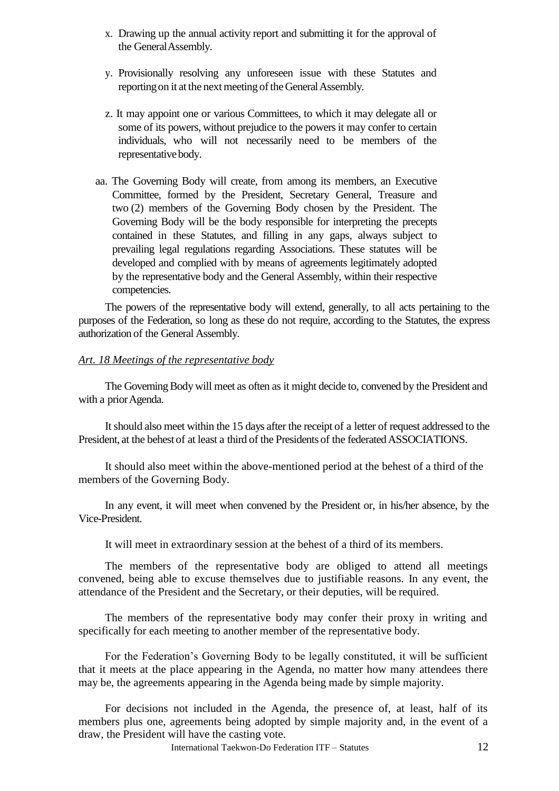- x. Drawing up the annual activity report and submitting it for the approval of the GeneralAssembly.
- y. Provisionally resolving any unforeseen issue with these Statutes and reporting on it at the next meeting of the General Assembly.
- z. It may appoint one or various Committees, to which it may delegate all or some of its powers, without prejudice to the powers it may confer to certain individuals, who will not necessarily need to be members of the representative body.
- aa. The Governing Body will create, from among its members, an Executive Committee, formed by the President, Secretary General, Treasure and two (2) members of the Governing Body chosen by the President. The Governing Body will be the body responsible for interpreting the precepts contained in these Statutes, and filling in any gaps, always subject to prevailing legal regulations regarding Associations. These statutes will be developed and complied with by means of agreements legitimately adopted by the representative body and the General Assembly, within their respective competencies.

The powers of the representative body will extend, generally, to all acts pertaining to the purposes of the Federation, so long as these do not require, according to the Statutes, the express authorization of the General Assembly.

# *Art. 18 Meetings of the representative body*

The Governing Body will meet as often as it might decide to, convened by the President and with a prior Agenda.

Itshould also meet within the 15 days after the receipt of a letter of request addressed to the President, at the behest of at least a third of the Presidents of the federated ASSOCIATIONS.

It should also meet within the above-mentioned period at the behest of a third of the members of the Governing Body.

In any event, it will meet when convened by the President or, in his/her absence, by the Vice-President.

It will meet in extraordinary session at the behest of a third of its members.

The members of the representative body are obliged to attend all meetings convened, being able to excuse themselves due to justifiable reasons. In any event, the attendance of the President and the Secretary, or their deputies, will be required.

The members of the representative body may confer their proxy in writing and specifically for each meeting to another member of the representative body.

For the Federation's Governing Body to be legally constituted, it will be sufficient that it meets at the place appearing in the Agenda, no matter how many attendees there may be, the agreements appearing in the Agenda being made by simple majority.

For decisions not included in the Agenda, the presence of, at least, half of its members plus one, agreements being adopted by simple majority and, in the event of a draw, the President will have the casting vote.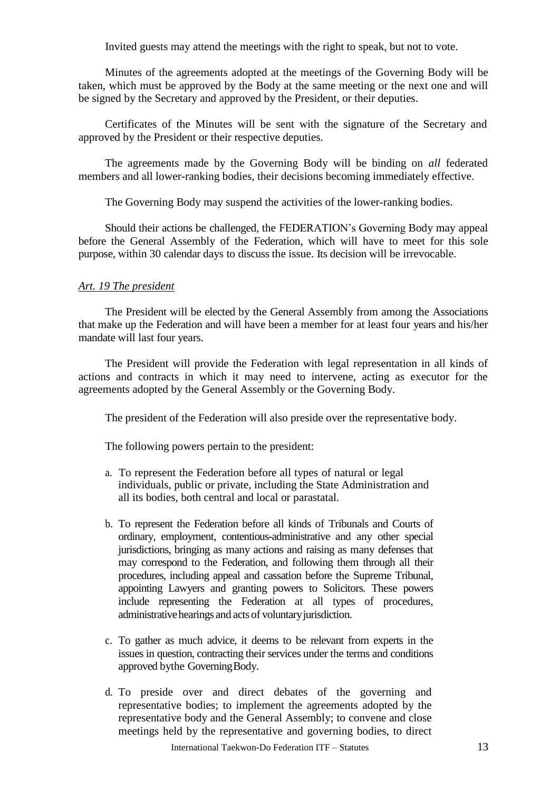Invited guests may attend the meetings with the right to speak, but not to vote.

Minutes of the agreements adopted at the meetings of the Governing Body will be taken, which must be approved by the Body at the same meeting or the next one and will be signed by the Secretary and approved by the President, or their deputies.

Certificates of the Minutes will be sent with the signature of the Secretary and approved by the President or their respective deputies.

The agreements made by the Governing Body will be binding on *all* federated members and all lower-ranking bodies, their decisions becoming immediately effective.

The Governing Body may suspend the activities of the lower-ranking bodies.

Should their actions be challenged, the FEDERATION's Governing Body may appeal before the General Assembly of the Federation, which will have to meet for this sole purpose, within 30 calendar days to discuss the issue. Its decision will be irrevocable.

#### *Art. 19 The president*

The President will be elected by the General Assembly from among the Associations that make up the Federation and will have been a member for at least four years and his/her mandate will last four years.

The President will provide the Federation with legal representation in all kinds of actions and contracts in which it may need to intervene, acting as executor for the agreements adopted by the General Assembly or the Governing Body.

The president of the Federation will also preside over the representative body.

The following powers pertain to the president:

- a. To represent the Federation before all types of natural or legal individuals, public or private, including the State Administration and all its bodies, both central and local or parastatal.
- b. To represent the Federation before all kinds of Tribunals and Courts of ordinary, employment, contentious-administrative and any other special jurisdictions, bringing as many actions and raising as many defenses that may correspond to the Federation, and following them through all their procedures, including appeal and cassation before the Supreme Tribunal, appointing Lawyers and granting powers to Solicitors. These powers include representing the Federation at all types of procedures, administrative hearings and acts of voluntary jurisdiction.
- c. To gather as much advice, it deems to be relevant from experts in the issues in question, contracting their services under the terms and conditions approved bythe GoverningBody.
- d. To preside over and direct debates of the governing and representative bodies; to implement the agreements adopted by the representative body and the General Assembly; to convene and close meetings held by the representative and governing bodies, to direct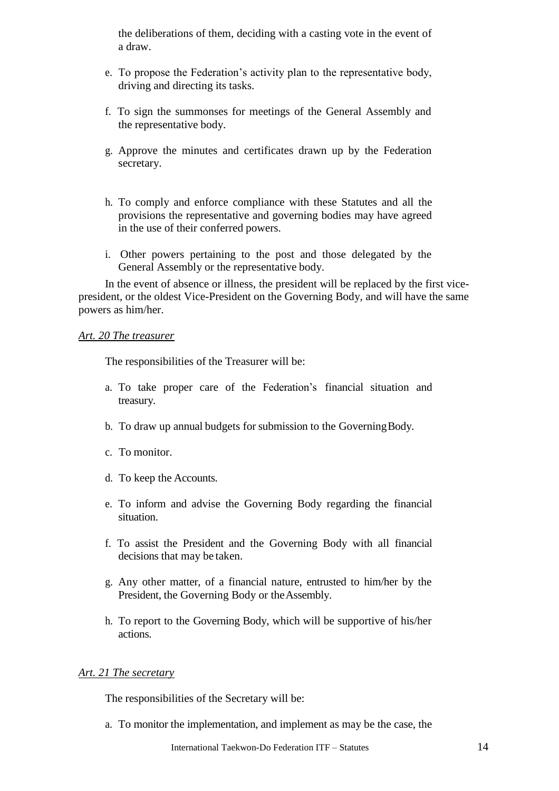the deliberations of them, deciding with a casting vote in the event of a draw.

- e. To propose the Federation's activity plan to the representative body, driving and directing its tasks.
- f. To sign the summonses for meetings of the General Assembly and the representative body.
- g. Approve the minutes and certificates drawn up by the Federation secretary.
- h. To comply and enforce compliance with these Statutes and all the provisions the representative and governing bodies may have agreed in the use of their conferred powers.
- i. Other powers pertaining to the post and those delegated by the General Assembly or the representative body.

In the event of absence or illness, the president will be replaced by the first vicepresident, or the oldest Vice-President on the Governing Body, and will have the same powers as him/her.

#### *Art. 20 The treasurer*

The responsibilities of the Treasurer will be:

- a. To take proper care of the Federation's financial situation and treasury.
- b. To draw up annual budgets for submission to the GoverningBody.
- c. To monitor.
- d. To keep the Accounts.
- e. To inform and advise the Governing Body regarding the financial situation.
- f. To assist the President and the Governing Body with all financial decisions that may be taken.
- g. Any other matter, of a financial nature, entrusted to him/her by the President, the Governing Body or the Assembly.
- h. To report to the Governing Body, which will be supportive of his/her actions.

## *Art. 21 The secretary*

The responsibilities of the Secretary will be:

a. To monitor the implementation, and implement as may be the case, the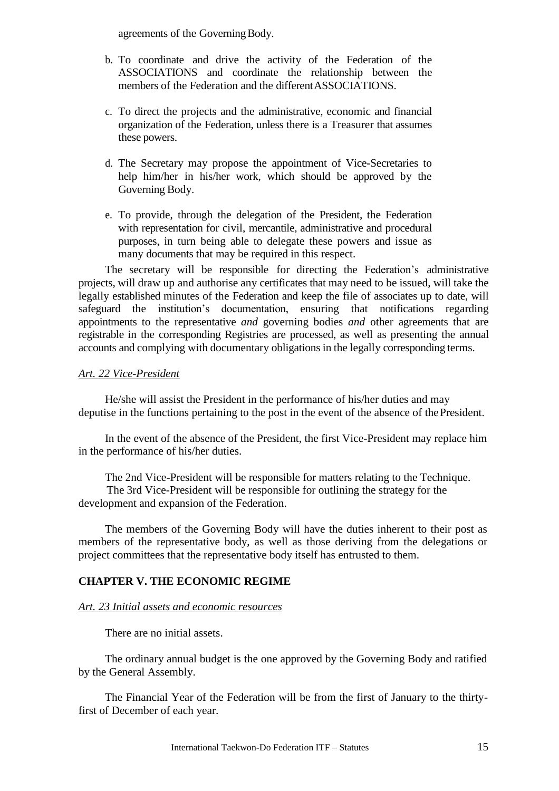agreements of the Governing Body.

- b. To coordinate and drive the activity of the Federation of the ASSOCIATIONS and coordinate the relationship between the members of the Federation and the differentASSOCIATIONS.
- c. To direct the projects and the administrative, economic and financial organization of the Federation, unless there is a Treasurer that assumes these powers.
- d. The Secretary may propose the appointment of Vice-Secretaries to help him/her in his/her work, which should be approved by the Governing Body.
- e. To provide, through the delegation of the President, the Federation with representation for civil, mercantile, administrative and procedural purposes, in turn being able to delegate these powers and issue as many documents that may be required in this respect.

The secretary will be responsible for directing the Federation's administrative projects, will draw up and authorise any certificates that may need to be issued, will take the legally established minutes of the Federation and keep the file of associates up to date, will safeguard the institution's documentation, ensuring that notifications regarding appointments to the representative *and* governing bodies *and* other agreements that are registrable in the corresponding Registries are processed, as well as presenting the annual accounts and complying with documentary obligations in the legally corresponding terms.

#### *Art. 22 Vice-President*

He/she will assist the President in the performance of his/her duties and may deputise in the functions pertaining to the post in the event of the absence of thePresident.

In the event of the absence of the President, the first Vice-President may replace him in the performance of his/her duties.

The 2nd Vice-President will be responsible for matters relating to the Technique.

The 3rd Vice-President will be responsible for outlining the strategy for the development and expansion of the Federation.

The members of the Governing Body will have the duties inherent to their post as members of the representative body, as well as those deriving from the delegations or project committees that the representative body itself has entrusted to them.

## **CHAPTER V. THE ECONOMIC REGIME**

#### *Art. 23 Initial assets and economic resources*

There are no initial assets.

The ordinary annual budget is the one approved by the Governing Body and ratified by the General Assembly.

The Financial Year of the Federation will be from the first of January to the thirtyfirst of December of each year.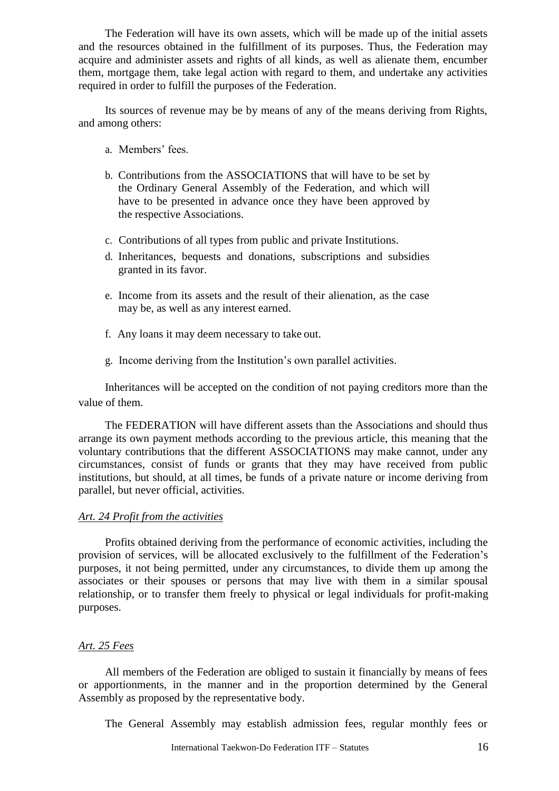The Federation will have its own assets, which will be made up of the initial assets and the resources obtained in the fulfillment of its purposes. Thus, the Federation may acquire and administer assets and rights of all kinds, as well as alienate them, encumber them, mortgage them, take legal action with regard to them, and undertake any activities required in order to fulfill the purposes of the Federation.

Its sources of revenue may be by means of any of the means deriving from Rights, and among others:

- a. Members' fees.
- b. Contributions from the ASSOCIATIONS that will have to be set by the Ordinary General Assembly of the Federation, and which will have to be presented in advance once they have been approved by the respective Associations.
- c. Contributions of all types from public and private Institutions.
- d. Inheritances, bequests and donations, subscriptions and subsidies granted in its favor.
- e. Income from its assets and the result of their alienation, as the case may be, as well as any interest earned.
- f. Any loans it may deem necessary to take out.
- g. Income deriving from the Institution's own parallel activities.

Inheritances will be accepted on the condition of not paying creditors more than the value of them.

The FEDERATION will have different assets than the Associations and should thus arrange its own payment methods according to the previous article, this meaning that the voluntary contributions that the different ASSOCIATIONS may make cannot, under any circumstances, consist of funds or grants that they may have received from public institutions, but should, at all times, be funds of a private nature or income deriving from parallel, but never official, activities.

## *Art. 24 Profit from the activities*

Profits obtained deriving from the performance of economic activities, including the provision of services, will be allocated exclusively to the fulfillment of the Federation's purposes, it not being permitted, under any circumstances, to divide them up among the associates or their spouses or persons that may live with them in a similar spousal relationship, or to transfer them freely to physical or legal individuals for profit-making purposes.

## *Art. 25 Fees*

All members of the Federation are obliged to sustain it financially by means of fees or apportionments, in the manner and in the proportion determined by the General Assembly as proposed by the representative body.

The General Assembly may establish admission fees, regular monthly fees or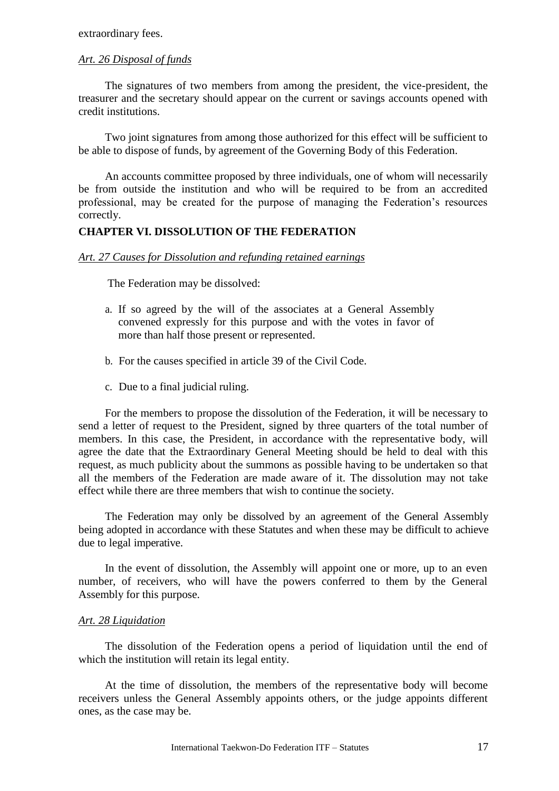## *Art. 26 Disposal of funds*

The signatures of two members from among the president, the vice-president, the treasurer and the secretary should appear on the current or savings accounts opened with credit institutions.

Two joint signatures from among those authorized for this effect will be sufficient to be able to dispose of funds, by agreement of the Governing Body of this Federation.

An accounts committee proposed by three individuals, one of whom will necessarily be from outside the institution and who will be required to be from an accredited professional, may be created for the purpose of managing the Federation's resources correctly.

#### **CHAPTER VI. DISSOLUTION OF THE FEDERATION**

#### *Art. 27 Causes for Dissolution and refunding retained earnings*

The Federation may be dissolved:

- a. If so agreed by the will of the associates at a General Assembly convened expressly for this purpose and with the votes in favor of more than half those present or represented.
- b. For the causes specified in article 39 of the Civil Code.
- c. Due to a final judicial ruling.

For the members to propose the dissolution of the Federation, it will be necessary to send a letter of request to the President, signed by three quarters of the total number of members. In this case, the President, in accordance with the representative body, will agree the date that the Extraordinary General Meeting should be held to deal with this request, as much publicity about the summons as possible having to be undertaken so that all the members of the Federation are made aware of it. The dissolution may not take effect while there are three members that wish to continue the society.

The Federation may only be dissolved by an agreement of the General Assembly being adopted in accordance with these Statutes and when these may be difficult to achieve due to legal imperative.

In the event of dissolution, the Assembly will appoint one or more, up to an even number, of receivers, who will have the powers conferred to them by the General Assembly for this purpose.

#### *Art. 28 Liquidation*

The dissolution of the Federation opens a period of liquidation until the end of which the institution will retain its legal entity.

At the time of dissolution, the members of the representative body will become receivers unless the General Assembly appoints others, or the judge appoints different ones, as the case may be.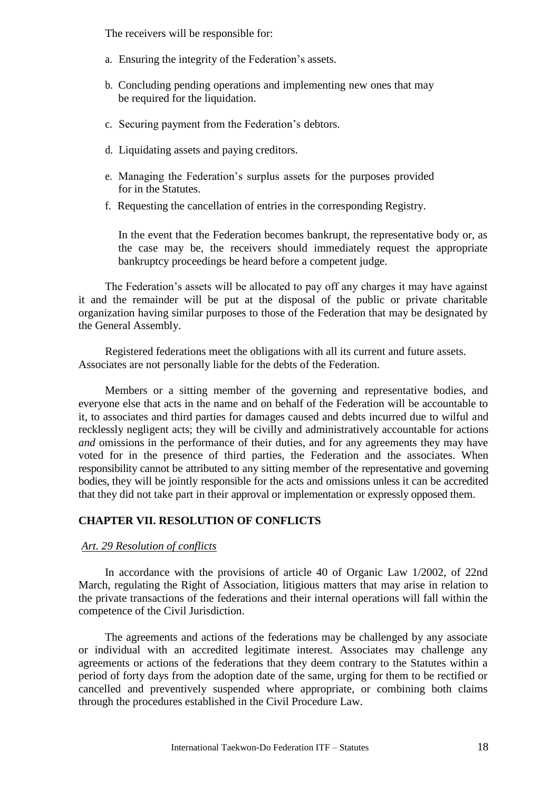The receivers will be responsible for:

- a. Ensuring the integrity of the Federation's assets.
- b. Concluding pending operations and implementing new ones that may be required for the liquidation.
- c. Securing payment from the Federation's debtors.
- d. Liquidating assets and paying creditors.
- e. Managing the Federation's surplus assets for the purposes provided for in the Statutes.
- f. Requesting the cancellation of entries in the corresponding Registry.

In the event that the Federation becomes bankrupt, the representative body or, as the case may be, the receivers should immediately request the appropriate bankruptcy proceedings be heard before a competent judge.

The Federation's assets will be allocated to pay off any charges it may have against it and the remainder will be put at the disposal of the public or private charitable organization having similar purposes to those of the Federation that may be designated by the General Assembly.

Registered federations meet the obligations with all its current and future assets. Associates are not personally liable for the debts of the Federation.

Members or a sitting member of the governing and representative bodies, and everyone else that acts in the name and on behalf of the Federation will be accountable to it, to associates and third parties for damages caused and debts incurred due to wilful and recklessly negligent acts; they will be civilly and administratively accountable for actions *and* omissions in the performance of their duties, and for any agreements they may have voted for in the presence of third parties, the Federation and the associates. When responsibility cannot be attributed to any sitting member of the representative and governing bodies, they will be jointly responsible for the acts and omissions unless it can be accredited that they did not take part in their approval or implementation or expressly opposed them.

# **CHAPTER VII. RESOLUTION OF CONFLICTS**

#### *Art. 29 Resolution of conflicts*

In accordance with the provisions of article 40 of Organic Law 1/2002, of 22nd March, regulating the Right of Association, litigious matters that may arise in relation to the private transactions of the federations and their internal operations will fall within the competence of the Civil Jurisdiction.

The agreements and actions of the federations may be challenged by any associate or individual with an accredited legitimate interest. Associates may challenge any agreements or actions of the federations that they deem contrary to the Statutes within a period of forty days from the adoption date of the same, urging for them to be rectified or cancelled and preventively suspended where appropriate, or combining both claims through the procedures established in the Civil Procedure Law.